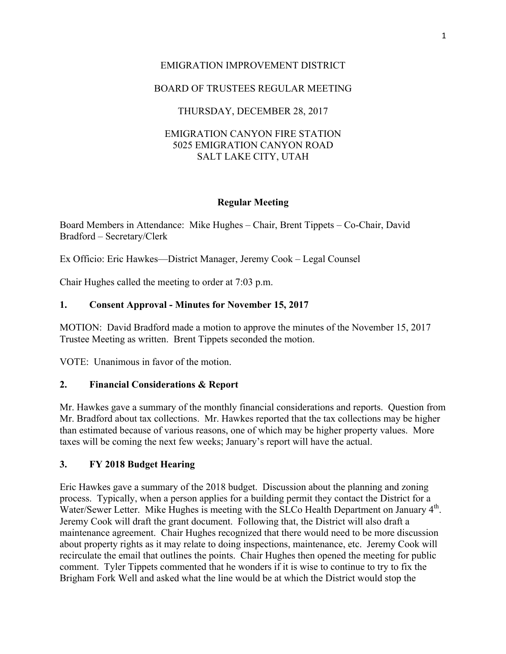# EMIGRATION IMPROVEMENT DISTRICT

# BOARD OF TRUSTEES REGULAR MEETING

# THURSDAY, DECEMBER 28, 2017

## EMIGRATION CANYON FIRE STATION 5025 EMIGRATION CANYON ROAD SALT LAKE CITY, UTAH

## **Regular Meeting**

Board Members in Attendance: Mike Hughes – Chair, Brent Tippets – Co-Chair, David Bradford – Secretary/Clerk

Ex Officio: Eric Hawkes—District Manager, Jeremy Cook – Legal Counsel

Chair Hughes called the meeting to order at 7:03 p.m.

## **1. Consent Approval - Minutes for November 15, 2017**

MOTION: David Bradford made a motion to approve the minutes of the November 15, 2017 Trustee Meeting as written. Brent Tippets seconded the motion.

VOTE: Unanimous in favor of the motion.

#### **2. Financial Considerations & Report**

Mr. Hawkes gave a summary of the monthly financial considerations and reports. Question from Mr. Bradford about tax collections. Mr. Hawkes reported that the tax collections may be higher than estimated because of various reasons, one of which may be higher property values. More taxes will be coming the next few weeks; January's report will have the actual.

#### **3. FY 2018 Budget Hearing**

Eric Hawkes gave a summary of the 2018 budget. Discussion about the planning and zoning process. Typically, when a person applies for a building permit they contact the District for a Water/Sewer Letter. Mike Hughes is meeting with the SLCo Health Department on January 4<sup>th</sup>. Jeremy Cook will draft the grant document. Following that, the District will also draft a maintenance agreement. Chair Hughes recognized that there would need to be more discussion about property rights as it may relate to doing inspections, maintenance, etc. Jeremy Cook will recirculate the email that outlines the points. Chair Hughes then opened the meeting for public comment. Tyler Tippets commented that he wonders if it is wise to continue to try to fix the Brigham Fork Well and asked what the line would be at which the District would stop the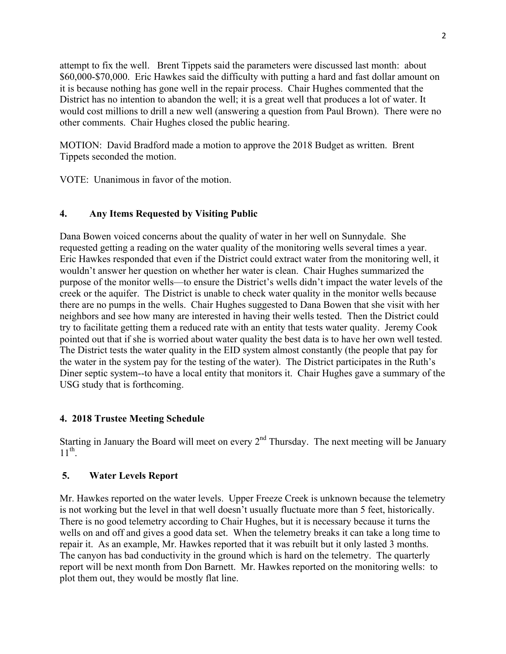attempt to fix the well. Brent Tippets said the parameters were discussed last month: about \$60,000-\$70,000. Eric Hawkes said the difficulty with putting a hard and fast dollar amount on it is because nothing has gone well in the repair process. Chair Hughes commented that the District has no intention to abandon the well; it is a great well that produces a lot of water. It would cost millions to drill a new well (answering a question from Paul Brown). There were no other comments. Chair Hughes closed the public hearing.

MOTION: David Bradford made a motion to approve the 2018 Budget as written. Brent Tippets seconded the motion.

VOTE: Unanimous in favor of the motion.

## **4. Any Items Requested by Visiting Public**

Dana Bowen voiced concerns about the quality of water in her well on Sunnydale. She requested getting a reading on the water quality of the monitoring wells several times a year. Eric Hawkes responded that even if the District could extract water from the monitoring well, it wouldn't answer her question on whether her water is clean. Chair Hughes summarized the purpose of the monitor wells—to ensure the District's wells didn't impact the water levels of the creek or the aquifer. The District is unable to check water quality in the monitor wells because there are no pumps in the wells. Chair Hughes suggested to Dana Bowen that she visit with her neighbors and see how many are interested in having their wells tested. Then the District could try to facilitate getting them a reduced rate with an entity that tests water quality. Jeremy Cook pointed out that if she is worried about water quality the best data is to have her own well tested. The District tests the water quality in the EID system almost constantly (the people that pay for the water in the system pay for the testing of the water). The District participates in the Ruth's Diner septic system--to have a local entity that monitors it. Chair Hughes gave a summary of the USG study that is forthcoming.

#### **4. 2018 Trustee Meeting Schedule**

Starting in January the Board will meet on every  $2<sup>nd</sup>$  Thursday. The next meeting will be January  $11^{th}$ .

#### **5. Water Levels Report**

Mr. Hawkes reported on the water levels. Upper Freeze Creek is unknown because the telemetry is not working but the level in that well doesn't usually fluctuate more than 5 feet, historically. There is no good telemetry according to Chair Hughes, but it is necessary because it turns the wells on and off and gives a good data set. When the telemetry breaks it can take a long time to repair it. As an example, Mr. Hawkes reported that it was rebuilt but it only lasted 3 months. The canyon has bad conductivity in the ground which is hard on the telemetry. The quarterly report will be next month from Don Barnett. Mr. Hawkes reported on the monitoring wells: to plot them out, they would be mostly flat line.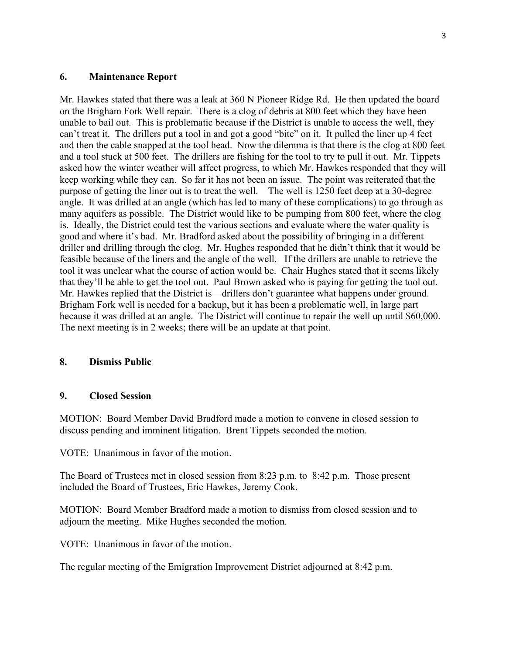#### **6. Maintenance Report**

Mr. Hawkes stated that there was a leak at 360 N Pioneer Ridge Rd. He then updated the board on the Brigham Fork Well repair. There is a clog of debris at 800 feet which they have been unable to bail out. This is problematic because if the District is unable to access the well, they can't treat it. The drillers put a tool in and got a good "bite" on it. It pulled the liner up 4 feet and then the cable snapped at the tool head. Now the dilemma is that there is the clog at 800 feet and a tool stuck at 500 feet. The drillers are fishing for the tool to try to pull it out. Mr. Tippets asked how the winter weather will affect progress, to which Mr. Hawkes responded that they will keep working while they can. So far it has not been an issue. The point was reiterated that the purpose of getting the liner out is to treat the well. The well is 1250 feet deep at a 30-degree angle. It was drilled at an angle (which has led to many of these complications) to go through as many aquifers as possible. The District would like to be pumping from 800 feet, where the clog is. Ideally, the District could test the various sections and evaluate where the water quality is good and where it's bad. Mr. Bradford asked about the possibility of bringing in a different driller and drilling through the clog. Mr. Hughes responded that he didn't think that it would be feasible because of the liners and the angle of the well. If the drillers are unable to retrieve the tool it was unclear what the course of action would be. Chair Hughes stated that it seems likely that they'll be able to get the tool out. Paul Brown asked who is paying for getting the tool out. Mr. Hawkes replied that the District is—drillers don't guarantee what happens under ground. Brigham Fork well is needed for a backup, but it has been a problematic well, in large part because it was drilled at an angle. The District will continue to repair the well up until \$60,000. The next meeting is in 2 weeks; there will be an update at that point.

#### **8. Dismiss Public**

# **9. Closed Session**

MOTION: Board Member David Bradford made a motion to convene in closed session to discuss pending and imminent litigation. Brent Tippets seconded the motion.

VOTE: Unanimous in favor of the motion.

The Board of Trustees met in closed session from 8:23 p.m. to 8:42 p.m. Those present included the Board of Trustees, Eric Hawkes, Jeremy Cook.

MOTION: Board Member Bradford made a motion to dismiss from closed session and to adjourn the meeting. Mike Hughes seconded the motion.

VOTE: Unanimous in favor of the motion.

The regular meeting of the Emigration Improvement District adjourned at 8:42 p.m.